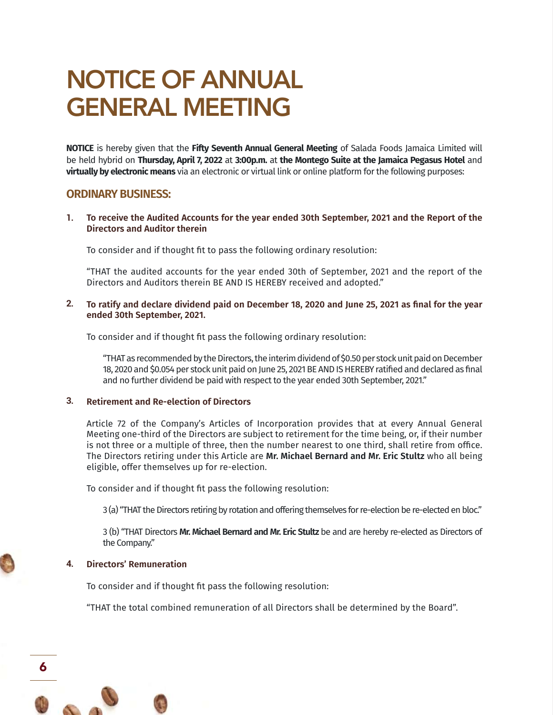# NOTICE OF ANNUAL GENERAL MEETING

**NOTICE** is hereby given that the **Fifty Seventh Annual General Meeting** of Salada Foods Jamaica Limited will be held hybrid on **Thursday, April 7, 2022** at **3:00p.m.** at **the Montego Suite at the Jamaica Pegasus Hotel** and **virtually by electronic means** via an electronic or virtual link or online platform for the following purposes:

# **ORDINARY BUSINESS:**

**To receive the Audited Accounts for the year ended 30th September, 2021 and the Report of the Directors and Auditor therein 1.**

To consider and if thought fit to pass the following ordinary resolution:

"THAT the audited accounts for the year ended 30th of September, 2021 and the report of the Directors and Auditors therein BE AND IS HEREBY received and adopted."

**To ratify and declare dividend paid on December 18, 2020 and June 25, 2021 as final for the year ended 30th September, 2021. 2.**

To consider and if thought fit pass the following ordinary resolution:

"THAT as recommended by the Directors, the interim dividend of \$0.50 per stock unit paid on December 18, 2020 and \$0.054 per stock unit paid on June 25, 2021 BE AND IS HEREBY ratified and declared as final and no further dividend be paid with respect to the year ended 30th September, 2021."

## **Retirement and Re-election of Directors 3.**

Article 72 of the Company's Articles of Incorporation provides that at every Annual General Meeting one-third of the Directors are subject to retirement for the time being, or, if their number is not three or a multiple of three, then the number nearest to one third, shall retire from office. The Directors retiring under this Article are **Mr. Michael Bernard and Mr. Eric Stultz** who all being eligible, offer themselves up for re-election.

To consider and if thought fit pass the following resolution:

3 (a) "THAT the Directors retiring by rotation and offering themselves for re-election be re-elected en bloc."

3 (b) "THAT Directors **Mr. Michael Bernard and Mr. Eric Stultz** be and are hereby re-elected as Directors of the Company."

#### **Directors' Remuneration 4.**

6

To consider and if thought fit pass the following resolution:

"THAT the total combined remuneration of all Directors shall be determined by the Board".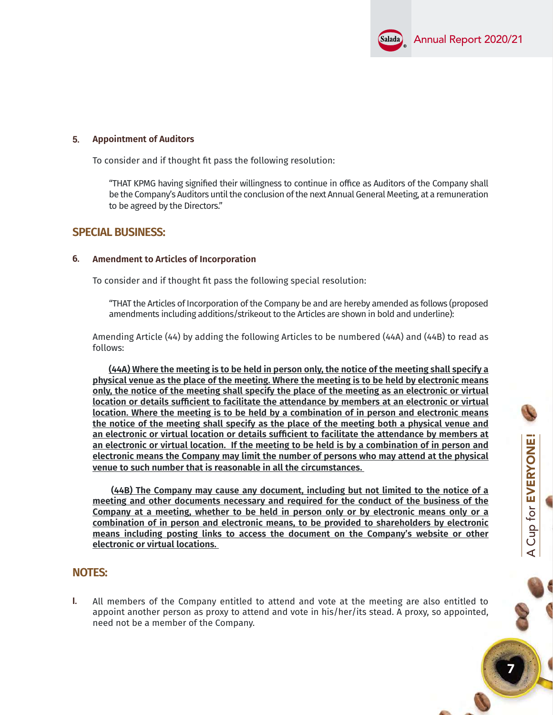

A Cup for EVERYONE!

A Cup for **EVERYONE!** 

7

## **Appointment of Auditors 5.**

To consider and if thought fit pass the following resolution:

"THAT KPMG having signified their willingness to continue in office as Auditors of the Company shall be the Company's Auditors until the conclusion of the next Annual General Meeting, at a remuneration to be agreed by the Directors."

## **SPECIAL BUSINESS:**

#### **Amendment to Articles of Incorporation 6.**

To consider and if thought fit pass the following special resolution:

"THAT the Articles of Incorporation of the Company be and are hereby amended as follows (proposed amendments including additions/strikeout to the Articles are shown in bold and underline):

Amending Article (44) by adding the following Articles to be numbered (44A) and (44B) to read as follows:

 **(44A) Where the meeting is to be held in person only, the notice of the meeting shall specify a physical venue as the place of the meeting. Where the meeting is to be held by electronic means only, the notice of the meeting shall specify the place of the meeting as an electronic or virtual location or details sufficient to facilitate the attendance by members at an electronic or virtual location. Where the meeting is to be held by a combination of in person and electronic means the notice of the meeting shall specify as the place of the meeting both a physical venue and an electronic or virtual location or details sufficient to facilitate the attendance by members at an electronic or virtual location. If the meeting to be held is by a combination of in person and electronic means the Company may limit the number of persons who may attend at the physical venue to such number that is reasonable in all the circumstances.** 

 **(44B) The Company may cause any document, including but not limited to the notice of a meeting and other documents necessary and required for the conduct of the business of the Company at a meeting, whether to be held in person only or by electronic means only or a combination of in person and electronic means, to be provided to shareholders by electronic means including posting links to access the document on the Company's website or other electronic or virtual locations.** 

## **NOTES:**

All members of the Company entitled to attend and vote at the meeting are also entitled to appoint another person as proxy to attend and vote in his/her/its stead. A proxy, so appointed, need not be a member of the Company. **I.**